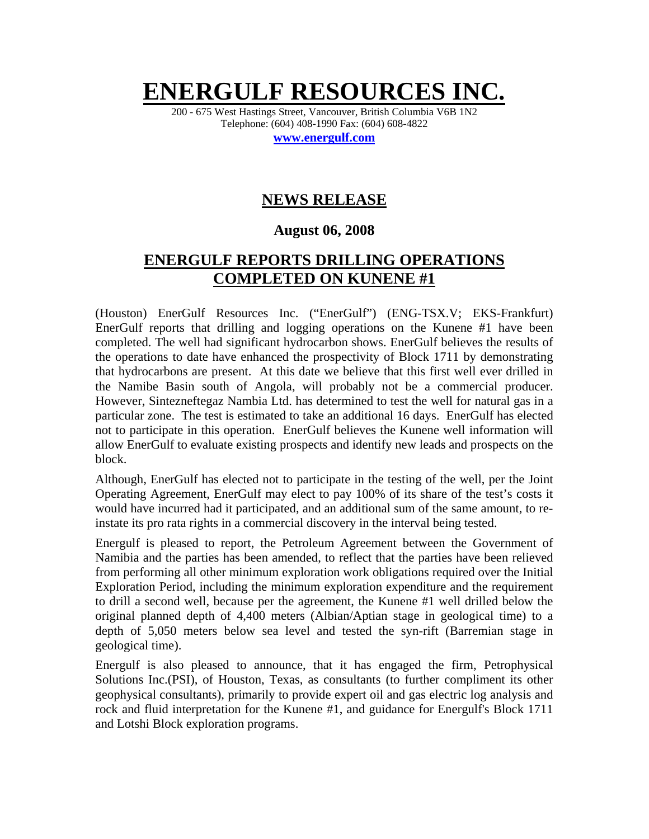# **ENERGULF RESOUR**

200 - 675 West Hastings Street, Vancouver, British Columbia V6B 1N2 Telephone: (604) 408-1990 Fax: (604) 608-4822

**www.energulf.com**

## **NEWS RELEASE**

### **August 06, 2008**

## **ENERGULF REPORTS DRILLING OPERATIONS COMPLETED ON KUNENE #1**

(Houston) EnerGulf Resources Inc. ("EnerGulf") (ENG-TSX.V; EKS-Frankfurt) EnerGulf reports that drilling and logging operations on the Kunene #1 have been completed. The well had significant hydrocarbon shows. EnerGulf believes the results of the operations to date have enhanced the prospectivity of Block 1711 by demonstrating that hydrocarbons are present. At this date we believe that this first well ever drilled in the Namibe Basin south of Angola, will probably not be a commercial producer. However, Sintezneftegaz Nambia Ltd. has determined to test the well for natural gas in a particular zone. The test is estimated to take an additional 16 days. EnerGulf has elected not to participate in this operation. EnerGulf believes the Kunene well information will allow EnerGulf to evaluate existing prospects and identify new leads and prospects on the block.

Although, EnerGulf has elected not to participate in the testing of the well, per the Joint Operating Agreement, EnerGulf may elect to pay 100% of its share of the test's costs it would have incurred had it participated, and an additional sum of the same amount, to reinstate its pro rata rights in a commercial discovery in the interval being tested.

Energulf is pleased to report, the Petroleum Agreement between the Government of Namibia and the parties has been amended, to reflect that the parties have been relieved from performing all other minimum exploration work obligations required over the Initial Exploration Period, including the minimum exploration expenditure and the requirement to drill a second well, because per the agreement, the Kunene #1 well drilled below the original planned depth of 4,400 meters (Albian/Aptian stage in geological time) to a depth of 5,050 meters below sea level and tested the syn-rift (Barremian stage in geological time).

Energulf is also pleased to announce, that it has engaged the firm, Petrophysical Solutions Inc.(PSI), of Houston, Texas, as consultants (to further compliment its other geophysical consultants), primarily to provide expert oil and gas electric log analysis and rock and fluid interpretation for the Kunene #1, and guidance for Energulf's Block 1711 and Lotshi Block exploration programs.